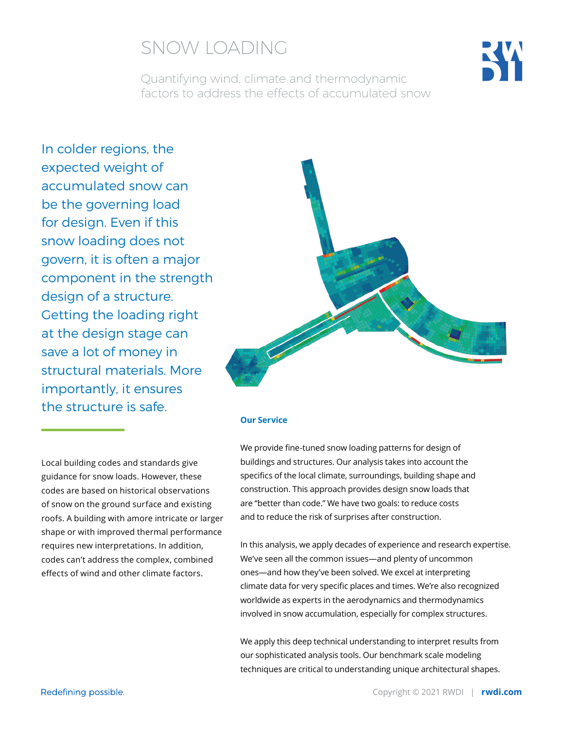

Quantifying wind, climate and thermodynamic factors to address the effects of accumulated snow

In colder regions, the expected weight of accumulated snow can be the governing load for design. Even if this snow loading does not govern, it is often a major component in the strength design of a structure. Getting the loading right at the design stage can save a lot of money in structural materials. More importantly, it ensures the structure is safe.



#### **Our Service**

We provide fine-tuned snow loading patterns for design of buildings and structures. Our analysis takes into account the specifics of the local climate, surroundings, building shape and construction. This approach provides design snow loads that are "better than code." We have two goals: to reduce costs and to reduce the risk of surprises after construction.

> In this analysis, we apply decades of experience and research expertise. We've seen all the common issues—and plenty of uncommon ones—and how they've been solved. We excel at interpreting climate data for very specific places and times. We're also recognized worldwide as experts in the aerodynamics and thermodynamics involved in snow accumulation, especially for complex structures.

We apply this deep technical understanding to interpret results from our sophisticated analysis tools. Our benchmark scale modeling techniques are critical to understanding unique architectural shapes.

Local building codes and standards give guidance for snow loads. However, these codes are based on historical observations of snow on the ground surface and existing roofs. A building with amore intricate or larger shape or with improved thermal performance requires new interpretations. In addition, codes can't address the complex, combined effects of wind and other climate factors.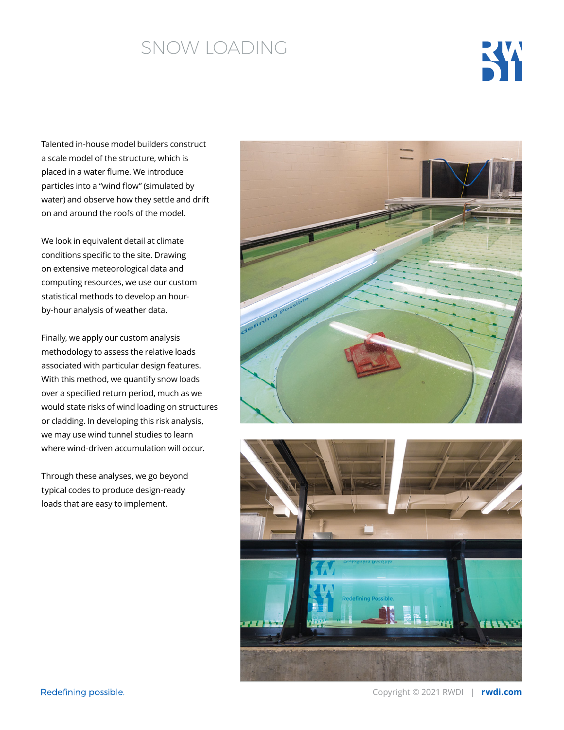

Talented in-house model builders construct a scale model of the structure, which is placed in a water flume. We introduce particles into a "wind flow" (simulated by water) and observe how they settle and drift on and around the roofs of the model.

We look in equivalent detail at climate conditions specific to the site. Drawing on extensive meteorological data and computing resources, we use our custom statistical methods to develop an hourby-hour analysis of weather data.

Finally, we apply our custom analysis methodology to assess the relative loads associated with particular design features. With this method, we quantify snow loads over a specified return period, much as we would state risks of wind loading on structures or cladding. In developing this risk analysis, we may use wind tunnel studies to learn where wind-driven accumulation will occur.

Through these analyses, we go beyond typical codes to produce design-ready loads that are easy to implement.



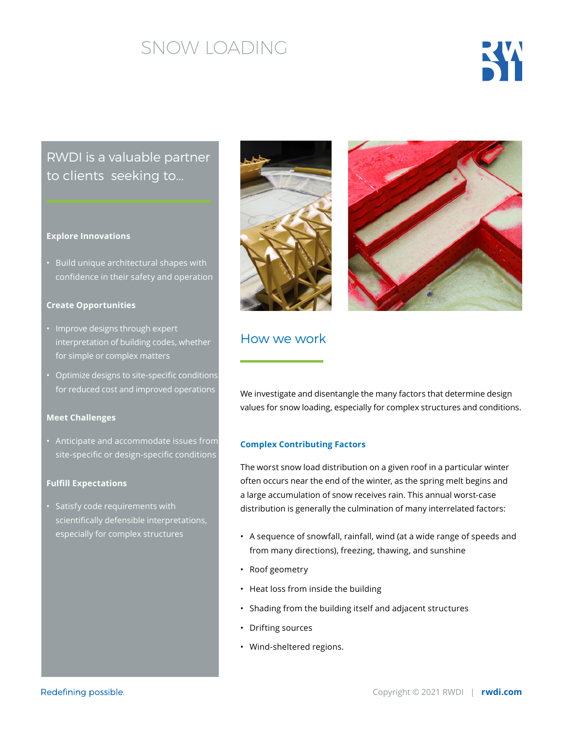

### RWDI is a valuable partner to clients seeking to...

#### **Explore Innovations**

• Build unique architectural shapes with confidence in their safety and operation

#### **Create Opportunities**

- Improve designs through expert interpretation of building codes, whether for simple or complex matters
- Optimize designs to site-specific conditions for reduced cost and improved operations

#### **Meet Challenges**

• Anticipate and accommodate issues from site-specific or design-specific conditions

#### **Fulfill Expectations**

• Satisfy code requirements with scientifically defensible interpretations, especially for complex structures





### How we work

We investigate and disentangle the many factors that determine design values for snow loading, especially for complex structures and conditions.

#### **Complex Contributing Factors**

The worst snow load distribution on a given roof in a particular winter often occurs near the end of the winter, as the spring melt begins and a large accumulation of snow receives rain. This annual worst-case distribution is generally the culmination of many interrelated factors:

- A sequence of snowfall, rainfall, wind (at a wide range of speeds and from many directions), freezing, thawing, and sunshine
- Roof geometry
- Heat loss from inside the building
- Shading from the building itself and adjacent structures
- Drifting sources
- Wind-sheltered regions.